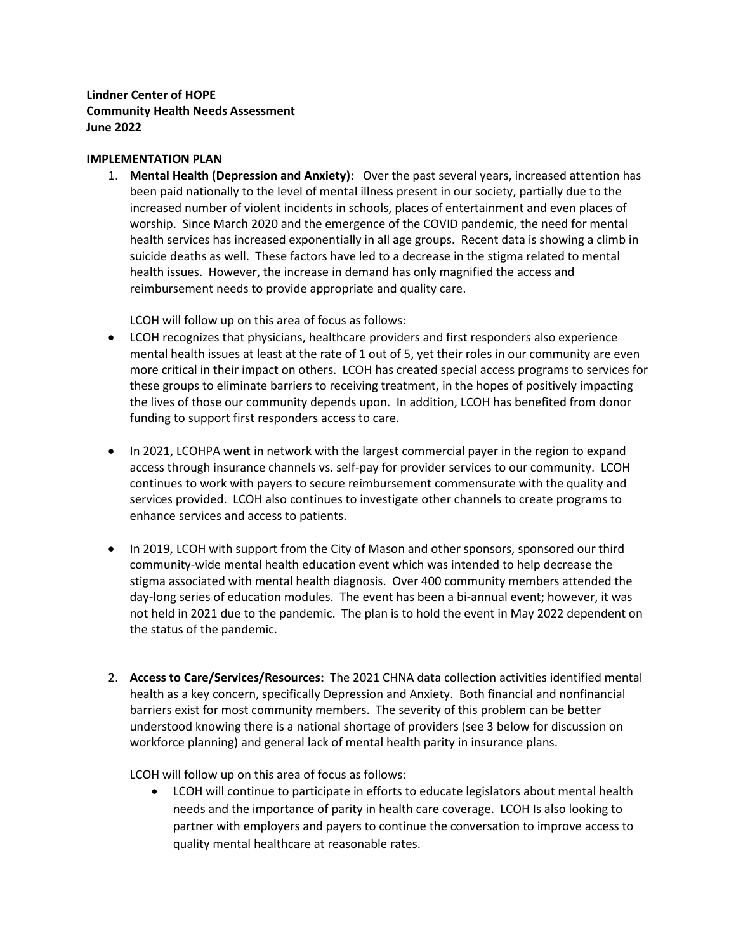**Lindner Center of HOPE Community Health Needs Assessment June 2022**

## **IMPLEMENTATION PLAN**

1. **Mental Health (Depression and Anxiety):** Over the past several years, increased attention has been paid nationally to the level of mental illness present in our society, partially due to the increased number of violent incidents in schools, places of entertainment and even places of worship. Since March 2020 and the emergence of the COVID pandemic, the need for mental health services has increased exponentially in all age groups. Recent data is showing a climb in suicide deaths as well. These factors have led to a decrease in the stigma related to mental health issues. However, the increase in demand has only magnified the access and reimbursement needs to provide appropriate and quality care.

LCOH will follow up on this area of focus as follows:

- LCOH recognizes that physicians, healthcare providers and first responders also experience mental health issues at least at the rate of 1 out of 5, yet their roles in our community are even more critical in their impact on others. LCOH has created special access programs to services for these groups to eliminate barriers to receiving treatment, in the hopes of positively impacting the lives of those our community depends upon. In addition, LCOH has benefited from donor funding to support first responders access to care.
- In 2021, LCOHPA went in network with the largest commercial payer in the region to expand access through insurance channels vs. self-pay for provider services to our community. LCOH continues to work with payers to secure reimbursement commensurate with the quality and services provided. LCOH also continues to investigate other channels to create programs to enhance services and access to patients.
- In 2019, LCOH with support from the City of Mason and other sponsors, sponsored our third community-wide mental health education event which was intended to help decrease the stigma associated with mental health diagnosis. Over 400 community members attended the day-long series of education modules. The event has been a bi-annual event; however, it was not held in 2021 due to the pandemic. The plan is to hold the event in May 2022 dependent on the status of the pandemic.
- 2. **Access to Care/Services/Resources:** The 2021 CHNA data collection activities identified mental health as a key concern, specifically Depression and Anxiety. Both financial and nonfinancial barriers exist for most community members. The severity of this problem can be better understood knowing there is a national shortage of providers (see 3 below for discussion on workforce planning) and general lack of mental health parity in insurance plans.

LCOH will follow up on this area of focus as follows:

• LCOH will continue to participate in efforts to educate legislators about mental health needs and the importance of parity in health care coverage. LCOH Is also looking to partner with employers and payers to continue the conversation to improve access to quality mental healthcare at reasonable rates.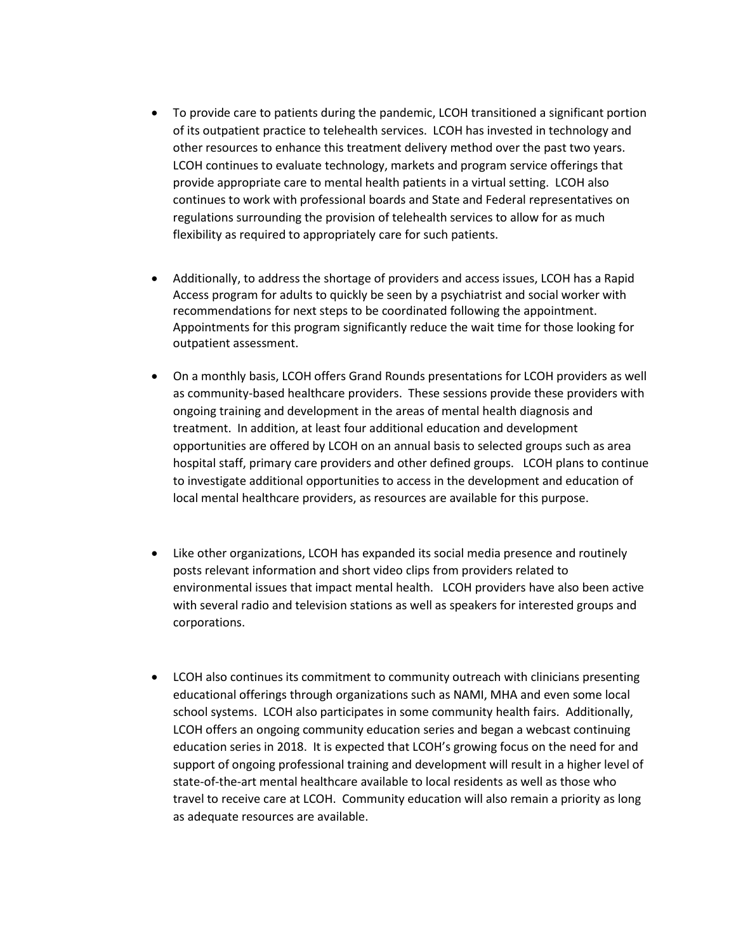- To provide care to patients during the pandemic, LCOH transitioned a significant portion of its outpatient practice to telehealth services. LCOH has invested in technology and other resources to enhance this treatment delivery method over the past two years. LCOH continues to evaluate technology, markets and program service offerings that provide appropriate care to mental health patients in a virtual setting. LCOH also continues to work with professional boards and State and Federal representatives on regulations surrounding the provision of telehealth services to allow for as much flexibility as required to appropriately care for such patients.
- Additionally, to address the shortage of providers and access issues, LCOH has a Rapid Access program for adults to quickly be seen by a psychiatrist and social worker with recommendations for next steps to be coordinated following the appointment. Appointments for this program significantly reduce the wait time for those looking for outpatient assessment.
- On a monthly basis, LCOH offers Grand Rounds presentations for LCOH providers as well as community-based healthcare providers. These sessions provide these providers with ongoing training and development in the areas of mental health diagnosis and treatment. In addition, at least four additional education and development opportunities are offered by LCOH on an annual basis to selected groups such as area hospital staff, primary care providers and other defined groups. LCOH plans to continue to investigate additional opportunities to access in the development and education of local mental healthcare providers, as resources are available for this purpose.
- Like other organizations, LCOH has expanded its social media presence and routinely posts relevant information and short video clips from providers related to environmental issues that impact mental health. LCOH providers have also been active with several radio and television stations as well as speakers for interested groups and corporations.
- LCOH also continues its commitment to community outreach with clinicians presenting educational offerings through organizations such as NAMI, MHA and even some local school systems. LCOH also participates in some community health fairs. Additionally, LCOH offers an ongoing community education series and began a webcast continuing education series in 2018. It is expected that LCOH's growing focus on the need for and support of ongoing professional training and development will result in a higher level of state-of-the-art mental healthcare available to local residents as well as those who travel to receive care at LCOH. Community education will also remain a priority as long as adequate resources are available.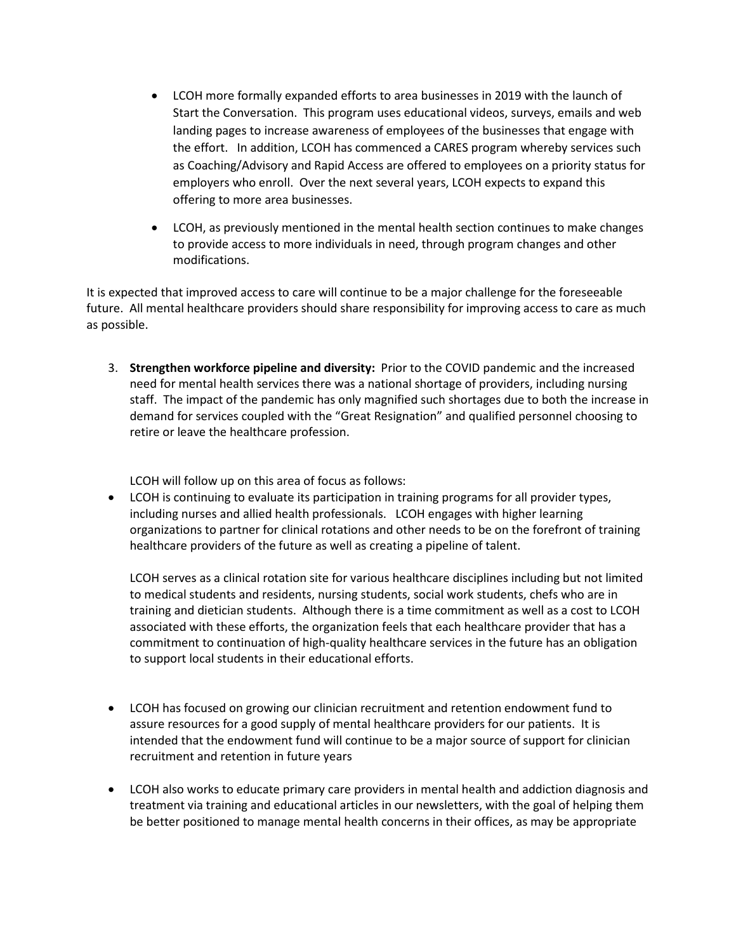- LCOH more formally expanded efforts to area businesses in 2019 with the launch of Start the Conversation. This program uses educational videos, surveys, emails and web landing pages to increase awareness of employees of the businesses that engage with the effort. In addition, LCOH has commenced a CARES program whereby services such as Coaching/Advisory and Rapid Access are offered to employees on a priority status for employers who enroll. Over the next several years, LCOH expects to expand this offering to more area businesses.
- LCOH, as previously mentioned in the mental health section continues to make changes to provide access to more individuals in need, through program changes and other modifications.

It is expected that improved access to care will continue to be a major challenge for the foreseeable future. All mental healthcare providers should share responsibility for improving access to care as much as possible.

3. **Strengthen workforce pipeline and diversity:** Prior to the COVID pandemic and the increased need for mental health services there was a national shortage of providers, including nursing staff. The impact of the pandemic has only magnified such shortages due to both the increase in demand for services coupled with the "Great Resignation" and qualified personnel choosing to retire or leave the healthcare profession.

LCOH will follow up on this area of focus as follows:

• LCOH is continuing to evaluate its participation in training programs for all provider types, including nurses and allied health professionals. LCOH engages with higher learning organizations to partner for clinical rotations and other needs to be on the forefront of training healthcare providers of the future as well as creating a pipeline of talent.

LCOH serves as a clinical rotation site for various healthcare disciplines including but not limited to medical students and residents, nursing students, social work students, chefs who are in training and dietician students. Although there is a time commitment as well as a cost to LCOH associated with these efforts, the organization feels that each healthcare provider that has a commitment to continuation of high-quality healthcare services in the future has an obligation to support local students in their educational efforts.

- LCOH has focused on growing our clinician recruitment and retention endowment fund to assure resources for a good supply of mental healthcare providers for our patients. It is intended that the endowment fund will continue to be a major source of support for clinician recruitment and retention in future years
- LCOH also works to educate primary care providers in mental health and addiction diagnosis and treatment via training and educational articles in our newsletters, with the goal of helping them be better positioned to manage mental health concerns in their offices, as may be appropriate